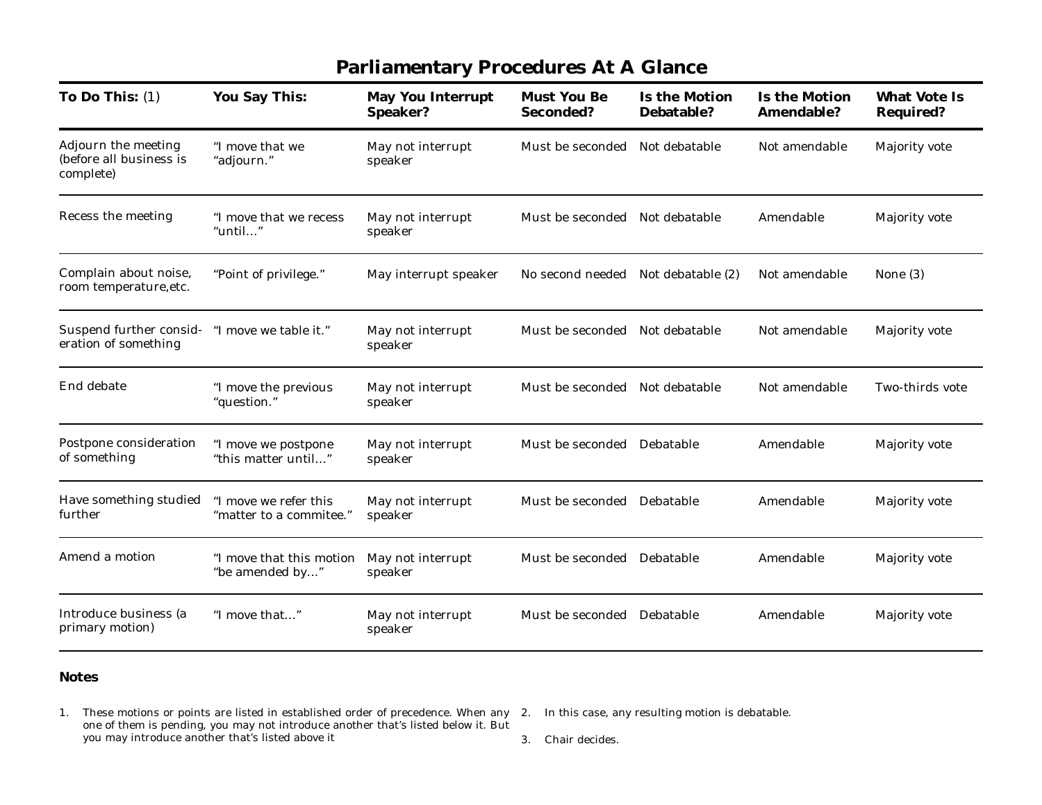| <b>Parliamentary Procedures At A Glance</b>                 |                                                  |                                      |                                        |                                    |                                    |                                         |  |  |  |  |
|-------------------------------------------------------------|--------------------------------------------------|--------------------------------------|----------------------------------------|------------------------------------|------------------------------------|-----------------------------------------|--|--|--|--|
| To Do This: $(1)$                                           | <b>You Say This:</b>                             | <b>May You Interrupt</b><br>Speaker? | <b>Must You Be</b><br><b>Seconded?</b> | <b>Is the Motion</b><br>Debatable? | <b>Is the Motion</b><br>Amendable? | <b>What Vote Is</b><br><b>Required?</b> |  |  |  |  |
| Adjourn the meeting<br>(before all business is<br>complete) | "I move that we<br>"adjourn."                    | May not interrupt<br>speaker         | Must be seconded Not debatable         |                                    | Not amendable                      | <b>Majority vote</b>                    |  |  |  |  |
| Recess the meeting                                          | "I move that we recess<br>"until"                | May not interrupt<br>speaker         | Must be seconded Not debatable         |                                    | Amendable                          | <b>Majority vote</b>                    |  |  |  |  |
| Complain about noise,<br>room temperature, etc.             | "Point of privilege."                            | May interrupt speaker                | No second needed Not debatable (2)     |                                    | Not amendable                      | None $(3)$                              |  |  |  |  |
| Suspend further consid-<br>eration of something             | "I move we table it."                            | May not interrupt<br>speaker         | Must be seconded Not debatable         |                                    | Not amendable                      | <b>Majority vote</b>                    |  |  |  |  |
| End debate                                                  | "I move the previous<br>"question."              | May not interrupt<br>speaker         | Must be seconded Not debatable         |                                    | Not amendable                      | Two-thirds vote                         |  |  |  |  |
| Postpone consideration<br>of something                      | "I move we postpone<br>"this matter until"       | May not interrupt<br>speaker         | Must be seconded Debatable             |                                    | Amendable                          | Majority vote                           |  |  |  |  |
| Have something studied<br>further                           | "I move we refer this<br>"matter to a commitee." | May not interrupt<br>speaker         | Must be seconded Debatable             |                                    | Amendable                          | <b>Majority vote</b>                    |  |  |  |  |
| Amend a motion                                              | "I move that this motion<br>"be amended by"      | May not interrupt<br>speaker         | Must be seconded Debatable             |                                    | Amendable                          | <b>Majority vote</b>                    |  |  |  |  |
| Introduce business (a<br>primary motion)                    | "I move that"                                    | May not interrupt<br>speaker         | Must be seconded Debatable             |                                    | Amendable                          | <b>Majority vote</b>                    |  |  |  |  |

## **Notes**

1. These motions or points are listed in established order of precedence. When any 2. In this case, any resulting motion is debatable. one of them is pending, you may not introduce another that's listed below it. But you may introduce another that's listed above it

3. Chair decides.